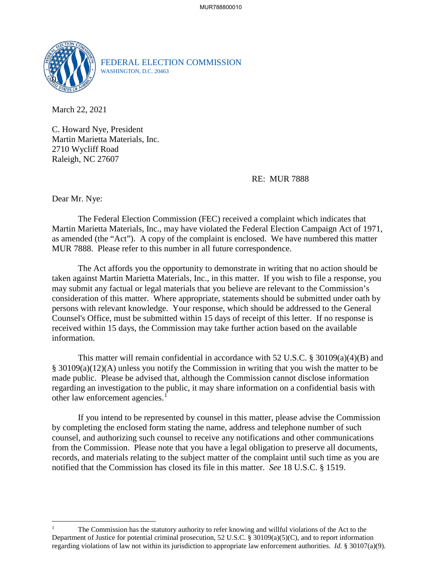

FEDERAL ELECTION COMMISSION WASHINGTON, D.C. 20463

March 22, 2021

C. Howard Nye, President Martin Marietta Materials, Inc. 2710 Wycliff Road Raleigh, NC 27607

RE: MUR 7888

Dear Mr. Nye:

 $\overline{a}$ 

The Federal Election Commission (FEC) received a complaint which indicates that Martin Marietta Materials, Inc., may have violated the Federal Election Campaign Act of 1971, as amended (the "Act"). A copy of the complaint is enclosed. We have numbered this matter MUR 7888. Please refer to this number in all future correspondence.

 The Act affords you the opportunity to demonstrate in writing that no action should be taken against Martin Marietta Materials, Inc., in this matter. If you wish to file a response, you may submit any factual or legal materials that you believe are relevant to the Commission's consideration of this matter. Where appropriate, statements should be submitted under oath by persons with relevant knowledge. Your response, which should be addressed to the General Counsel's Office, must be submitted within 15 days of receipt of this letter. If no response is received within 15 days, the Commission may take further action based on the available information.

This matter will remain confidential in accordance with 52 U.S.C. § 30109(a)(4)(B) and § 30109(a)(12)(A) unless you notify the Commission in writing that you wish the matter to be made public. Please be advised that, although the Commission cannot disclose information regarding an investigation to the public, it may share information on a confidential basis with other law enforcement agencies.<sup>1</sup>

If you intend to be represented by counsel in this matter, please advise the Commission by completing the enclosed form stating the name, address and telephone number of such counsel, and authorizing such counsel to receive any notifications and other communications from the Commission. Please note that you have a legal obligation to preserve all documents, records, and materials relating to the subject matter of the complaint until such time as you are notified that the Commission has closed its file in this matter. *See* 18 U.S.C. § 1519.

<sup>1</sup> The Commission has the statutory authority to refer knowing and willful violations of the Act to the Department of Justice for potential criminal prosecution, 52 U.S.C. § 30109(a)(5)(C), and to report information regarding violations of law not within its jurisdiction to appropriate law enforcement authorities. *Id.* § 30107(a)(9).